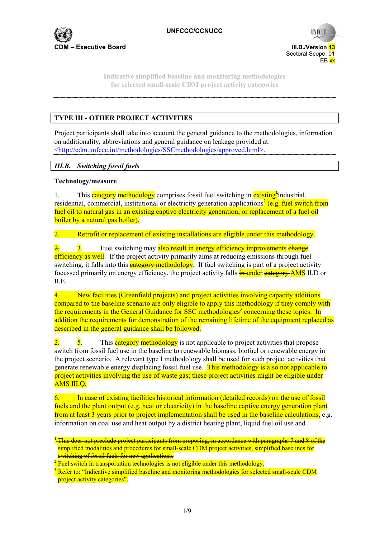

**CDM – Executive Board III.B./Version 13** Sectoral Scope: 01 en de la provincia de la provincia de la provincia de la provincia de la provincia de la provincia de la provi

**UNFCCC** 

**Indicative simplified baseline and monitoring methodologies for selected small-scale CDM project activity categories** 

# **TYPE III - OTHER PROJECT ACTIVITIES**

Project participants shall take into account the general guidance to the methodologies, information on additionality, abbreviations and general guidance on leakage provided at: <http://cdm.unfccc.int/methodologies/SSCmethodologies/approved.html>.

## *III.B. Switching fossil fuels*

## **Technology/measure**

 $\overline{a}$ 

1. This **eategory methodology** comprises fossil fuel switching in **existing**<sup>t</sup>industrial, residential, commercial, institutional or electricity generation applications<sup>2</sup> (e.g. fuel switch from fuel oil to natural gas in an existing captive electricity generation, or replacement of a fuel oil boiler by a natural gas boiler).

2. Retrofit or replacement of existing installations are eligible under this methodology.

 $\frac{2}{3}$  3. Fuel switching may also result in energy efficiency improvements change efficiency as well. If the project activity primarily aims at reducing emissions through fuel switching, it falls into this **eategory methodology**. If fuel switching is part of a project activity focussed primarily on energy efficiency, the project activity falls **in under eategory AMS** II.D or II.E.

4. New facilities (Greenfield projects) and project activities involving capacity additions compared to the baseline scenario are only eligible to apply this methodology if they comply with the requirements in the General Guidance for SSC methodologies<sup>3</sup> concerning these topics. In addition the requirements for demonstration of the remaining lifetime of the equipment replaced as described in the general guidance shall be followed.

 $\frac{2}{5}$  5. This **eategory methodology** is not applicable to project activities that propose switch from fossil fuel use in the baseline to renewable biomass, biofuel or renewable energy in the project scenario. A relevant type I methodology shall be used for such project activities that generate renewable energy displacing fossil fuel use. This methodology is also not applicable to project activities involving the use of waste gas; these project activities might be eligible under AMS III.Q.

6. In case of existing facilities historical information (detailed records) on the use of fossil fuels and the plant output (e.g. heat or electricity) in the baseline captive energy generation plant from at least 3 years prior to project implementation shall be used in the baseline calculations, e.g. information on coal use and heat output by a district heating plant, liquid fuel oil use and

 $^{\rm t}$  This does not preclude project participants from proposing, in accordance with paragraphs 7 and 8 of the simplified modalities and procedures for small-scale CDM project activities, simplified baselines for switching of fossil fuels for new applications.

 $2$  Fuel switch in transportation technologies is not eligible under this methodology.

<sup>&</sup>lt;sup>3</sup> Refer to: "Indicative simplified baseline and monitoring methodologies for selected small-scale CDM project activity categories".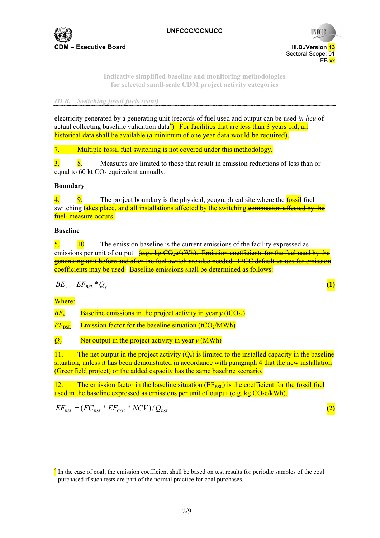

**UNFCC** 

Sectoral Scope: 01

**Indicative simplified baseline and monitoring methodologies for selected small-scale CDM project activity categories** 

en de la provincia de la provincia de la provincia de la provincia de la provincia de la provincia de la provi

### *III.B. Switching fossil fuels (cont)*

electricity generated by a generating unit (records of fuel used and output can be used *in lieu* of actual collecting baseline validation data<sup>4</sup>). For facilities that are less than 3 years old, all historical data shall be available (a minimum of one year data would be required).

7. Multiple fossil fuel switching is not covered under this methodology.

 $\frac{3}{2}$  8. Measures are limited to those that result in emission reductions of less than or equal to  $60$  kt  $CO<sub>2</sub>$  equivalent annually.

#### **Boundary**

 $\frac{4}{10}$ , The project boundary is the physical, geographical site where the fossil fuel switching takes place, and all installations affected by the switching.combustion affected by the fuel- measure occurs.

#### **Baseline**

 $\frac{5}{2}$  10. The emission baseline is the current emissions of the facility expressed as emissions per unit of output.  $(e.g., ke CO<sub>2</sub>e/kWh)$ . Emission coefficients for the fuel used by the generating unit before and after the fuel switch are also needed. IPCC default values for emission coefficients may be used. Baseline emissions shall be determined as follows:

$$
BE_y = EF_{BSL} * Q_y \tag{1}
$$

Where:

 $\overline{a}$ 

 $BE<sub>v</sub>$  Baseline emissions in the project activity in year  $v$  (tCO<sub>2e</sub>)

 $EF_{\text{RST}}$  Emission factor for the baseline situation (tCO<sub>2</sub>/MWh)

 $Q_{y}$  Net output in the project activity in year *y* (MWh)

11. The net output in the project activity  $(Q_y)$  is limited to the installed capacity in the baseline situation, unless it has been demonstrated in accordance with paragraph 4 that the new installation (Greenfield project) or the added capacity has the same baseline scenario.

12. The emission factor in the baseline situation  $(EF_{\text{BSL}})$  is the coefficient for the fossil fuel used in the baseline expressed as emissions per unit of output (e.g. kg  $CO<sub>2</sub>e/kWh$ ).

$$
EF_{BSL} = (FC_{BSL} * EF_{CO2} * NCV) / Q_{BSL}
$$
 (2)

 $\frac{4}{3}$  In the case of coal, the emission coefficient shall be based on test results for periodic samples of the coal purchased if such tests are part of the normal practice for coal purchases.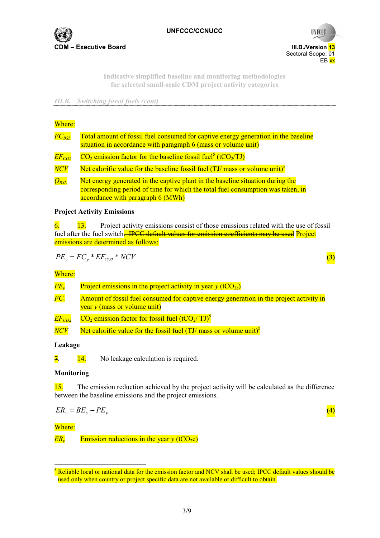

**UNFCCC** 

 Sectoral Scope: 01 en de la provincia de la provincia de la provincia de la provincia de la provincia de la provincia de la provi

> **Indicative simplified baseline and monitoring methodologies for selected small-scale CDM project activity categories**

*III.B. Switching fossil fuels (cont)*

#### Where:

| $FC_{\mathit{BSL}}$           | Total amount of fossil fuel consumed for captive energy generation in the baseline<br>situation in accordance with paragraph 6 (mass or volume unit)                                                   |  |  |  |  |
|-------------------------------|--------------------------------------------------------------------------------------------------------------------------------------------------------------------------------------------------------|--|--|--|--|
| $EF_{CO2}$                    | $CO2$ emission factor for the baseline fossil fuel <sup>5</sup> (tCO <sub>2</sub> /TJ)                                                                                                                 |  |  |  |  |
| $\overline{NCV}$              | Net calorific value for the baseline fossil fuel $(TJ/mass)$ or volume unit) <sup>5</sup>                                                                                                              |  |  |  |  |
| $\overline{Q_{\mathit{BSL}}}$ | Net energy generated in the captive plant in the baseline situation during the<br>corresponding period of time for which the total fuel consumption was taken, in<br>accordance with paragraph 6 (MWh) |  |  |  |  |

#### **Project Activity Emissions**

 $\frac{6}{13}$  Project activity emissions consist of those emissions related with the use of fossil fuel after the fuel switch<del>. IPCC default values for emission coefficients may be used</del> Project emissions are determined as follows:

$$
PE_y = FC_y * EF_{CO2} * NCV
$$
 (3)

Where:

| $PE_{v}$            | Project emissions in the project activity in year $y$ (tCO <sub>2e</sub> )                                                |
|---------------------|---------------------------------------------------------------------------------------------------------------------------|
| $\overline{FC_{v}}$ | Amount of fossil fuel consumed for captive energy generation in the project activity in<br>year $y$ (mass or volume unit) |
| $EF_{CO2}$          | $CO2$ emission factor for fossil fuel (tCO <sub>2</sub> /TJ) <sup>5</sup>                                                 |
| $\overline{NCV}$    | Net calorific value for the fossil fuel $(TJ/mass$ or volume unit) <sup>5</sup>                                           |

## **Leakage**

 $\frac{14}{14}$  No leakage calculation is required.

## **Monitoring**

15. The emission reduction achieved by the project activity will be calculated as the difference between the baseline emissions and the project emissions.

$$
ER_y = BE_y - PE_y \tag{4}
$$

## Where:

 $\overline{a}$ 

 $ER<sub>v</sub>$  Emission reductions in the year *y* (tCO<sub>2</sub>e)

 $<sup>5</sup>$  Reliable local or national data for the emission factor and NCV shall be used; IPCC default values should be</sup> used only when country or project specific data are not available or difficult to obtain.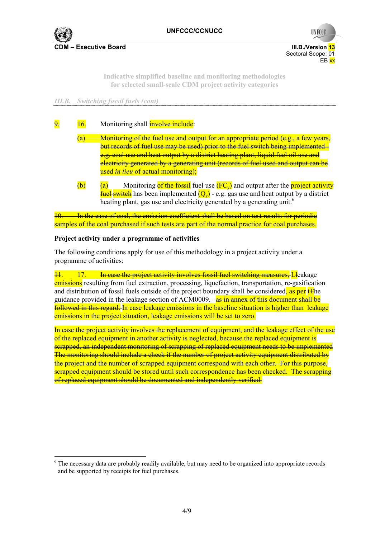**CDM – Executive Board III.B./Version 13** Sectoral Scope: 01

**UNFCCC** 

**Indicative simplified baseline and monitoring methodologies for selected small-scale CDM project activity categories** 

en de la provincia de la provincia de la provincia de la provincia de la provincia de la provincia de la provi

## *III.B. Switching fossil fuels (cont)*

# 9. 16. Monitoring shall **involve include**:

- (a) Monitoring of the fuel use and output for an appropriate period (e.g., a few years, but records of fuel use may be used) prior to the fuel switch being implemented e.g. coal use and heat output by a district heating plant, liquid fuel oil use and electricity generated by a generating unit (records of fuel used and output can be used *in lieu* of actual monitoring);
- $\overline{(a)}$  Monitoring of the fossil fuel use  $\overline{(FC_v)}$  and output after the project activity **fuel switch** has been implemented  $(O_v)$  - e.g. gas use and heat output by a district heating plant, gas use and electricity generated by a generating unit.<sup>6</sup>

10. In the case of coal, the emission coefficient shall be based on test results for periodic samples of the coal purchased if such tests are part of the normal practice for coal purchases.

#### **Project activity under a programme of activities**

The following conditions apply for use of this methodology in a project activity under a programme of activities:

11. 17. In case the project activity involves fossil fuel switching measures, Lleakage emissions resulting from fuel extraction, processing, liquefaction, transportation, re-gasification and distribution of fossil fuels outside of the project boundary shall be considered, as per t<sub>T</sub>he guidance provided in the leakage section of ACM0009. as in annex of this document shall be followed in this regard. In case leakage emissions in the baseline situation is higher than leakage emissions in the project situation, leakage emissions will be set to zero.

In case the project activity involves the replacement of equipment, and the leakage effect of the use of the replaced equipment in another activity is neglected, because the replaced equipment is scrapped, an independent monitoring of scrapping of replaced equipment needs to be implemented The monitoring should include a check if the number of project activity equipment distributed by the project and the number of scrapped equipment correspond with each other. For this purpose, scrapped equipment should be stored until such correspondence has been checked. The scrapping of replaced equipment should be documented and independently verified.

<sup>&</sup>lt;sup>6</sup> The necessary data are probably readily available, but may need to be organized into appropriate records and be supported by receipts for fuel purchases.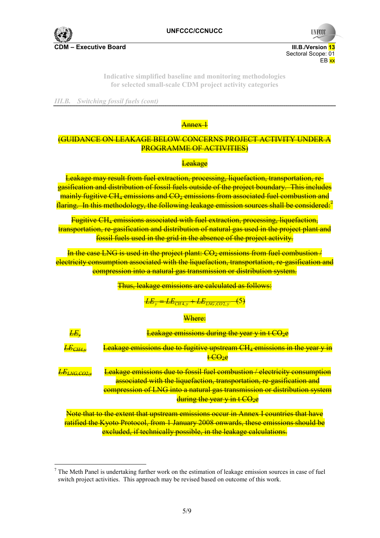

**CDM – Executive Board III.B./Version 13**

Sectoral Scope: 01<br>EB xx en de la provincia de la provincia de la provincia de la provincia de la provincia de la provincia de la provi

**UNFCCC** 

**Indicative simplified baseline and monitoring methodologies for selected small-scale CDM project activity categories** 

*III.B. Switching fossil fuels (cont)*

## Annex 1

# (GUIDANCE ON LEAKAGE BELOW CONCERNS PROJECT ACTIVITY UNDER A PROGRAMME OF ACTIVITIES)

#### Leakage

Leakage may result from fuel extraction, processing, liquefaction, transportation, regasification and distribution of fossil fuels outside of the project boundary. This includes  $m$ ainly fugitive CH<sub>4</sub> emissions and  $CO<sub>2</sub>$  emissions from associated fuel combustion and flaring. In this methodology, the following leakage emission sources shall be considered:<sup>7</sup>

Fugitive CH4 emissions associated with fuel extraction, processing, liquefaction, transportation, re-gasification and distribution of natural gas used in the project plant and fossil fuels used in the grid in the absence of the project activity.

In the case LNG is used in the project plant:  $CO<sub>2</sub>$  emissions from fuel combustion / electricity consumption associated with the liquefaction, transportation, re-gasification and compression into a natural gas transmission or distribution system.

Thus, leakage emissions are calculated as follows:

 $LE_{CH4, v} + LE_{ING, CO2, v}$ 

Where:

| $E\!\!\!E_\nu$      | <b>Leakage emissions during the year y in t CO2e</b>                                                                                                      |
|---------------------|-----------------------------------------------------------------------------------------------------------------------------------------------------------|
| $E\!E_{CH4,\nu}$    | <b>Leakage emissions due to fugitive upstream CH<sub>4</sub> emissions in the year y in</b>                                                               |
|                     | <del>t CO2e</del>                                                                                                                                         |
| $E\!E_{LNG, CO2,v}$ | <b>Leakage emissions due to fossil fuel combustion / electricity consumption</b><br>associated with the liquefaction, transportation, re-gasification and |
|                     | compression of LNG into a natural gas transmission or distribution system                                                                                 |
|                     | during the year y in t CO <sub>2</sub> e                                                                                                                  |
|                     | Note that to the extent that upstream emissions occur in Annex I countries that have                                                                      |
|                     | ratified the Kyoto Protocol, from 1 January 2008 onwards, these emissions should be                                                                       |

excluded, if technically possible, in the leakage calculations.

 $<sup>7</sup>$  The Meth Panel is undertaking further work on the estimation of leakage emission sources in case of fuel</sup> switch project activities. This approach may be revised based on outcome of this work.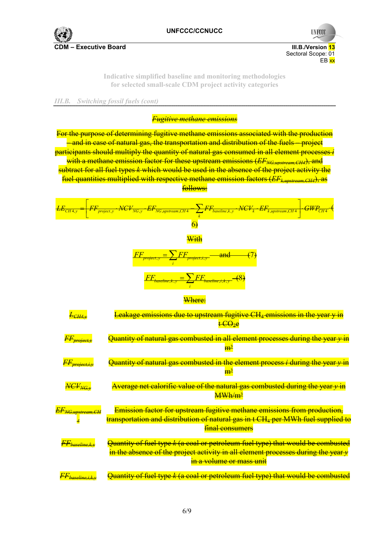

**CDM – Executive Board III.B./Version 13** 



**UNFCCC** 

**Indicative simplified baseline and monitoring methodologies for selected small-scale CDM project activity categories** 

*III.B. Switching fossil fuels (cont)*

*Fugitive methane emissions*

For the purpose of determining fugitive methane emissions associated with the production – and in case of natural gas, the transportation and distribution of the fuels – project participants should multiply the quantity of natural gas consumed in all element processes *i* with a methane emission factor for these upstream emissions (*EF<sub>NG upstream CH4*), and</sub> subtract for all fuel types *k* which would be used in the absence of the project activity the fuel quantities multiplied with respective methane emission factors (*EFk,upstream,CH4*), as follows:

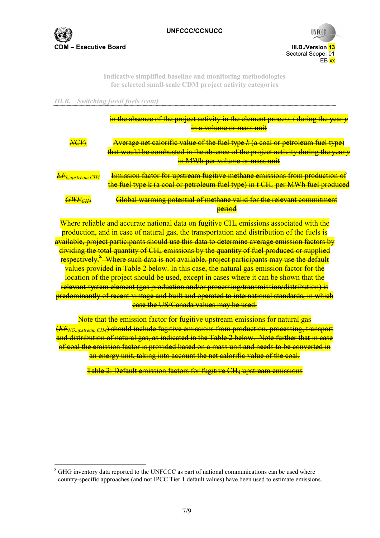

**UNFCCC** 

Sectoral Scope: 01<br>EB xx en de la provincia de la provincia de la provincia de la provincia de la provincia de la provincia de la provi

> **Indicative simplified baseline and monitoring methodologies for selected small-scale CDM project activity categories**

*III.B. Switching fossil fuels (cont)*

|                                                                | in the absence of the project activity in the element process $i$ during the year $y$<br>in a volume or mass unit                                                                                                                      |
|----------------------------------------------------------------|----------------------------------------------------------------------------------------------------------------------------------------------------------------------------------------------------------------------------------------|
| $\textit{NCF}_k$                                               | <b>Average net calorific value of the fuel type k (a coal or petroleum fuel type)</b><br>that would be combusted in the absence of the project activity during the year y                                                              |
|                                                                | in MWh per volume or mass unit                                                                                                                                                                                                         |
| <del>EF<sub>k,upstream,CH4</sub></del>                         | <b>Emission factor for upstream fugitive methane emissions from production of</b><br>the fuel type k (a coal or petroleum fuel type) in t CH <sub>4</sub> per MWh fuel produced                                                        |
| $\overline{G\text{\scriptsize{W}}\text{\scriptsize{P}}_{CH4}}$ | Global warming potential of methane valid for the relevant commitment                                                                                                                                                                  |
|                                                                | <b>period</b>                                                                                                                                                                                                                          |
| <b>TT 71</b>                                                   | <u> a shekara ta 1970, a shekara ta 1971, a shekara ta 1981, a shekara ta 1981, a shekara ta 1981, a shekara ta 1</u><br>$\frac{11}{11}$ 1 $\frac{1}{11}$ 1 $\frac{1}{11}$ $\frac{1}{11}$ $\frac{1}{11}$ $\frac{1}{11}$ $\frac{1}{11}$ |

Where reliable and accurate national data on fugitive CH4 emissions associated with the production, and in case of natural gas, the transportation and distribution of the fuels is available, project participants should use this data to determine average emission factors by dividing the total quantity of CH4 emissions by the quantity of fuel produced or supplied respectively.<sup>8</sup> Where such data is not available, project participants may use the default values provided in Table 2 below. In this case, the natural gas emission factor for the location of the project should be used, except in cases where it can be shown that the relevant system element (gas production and/or processing/transmission/distribution) is predominantly of recent vintage and built and operated to international standards, in which case the US/Canada values may be used.

Note that the emission factor for fugitive upstream emissions for natural gas (*EFNG,upstream,CH4*) should include fugitive emissions from production, processing, transport and distribution of natural gas, as indicated in the Table 2 below. Note further that in case of coal the emission factor is provided based on a mass unit and needs to be converted in an energy unit, taking into account the net calorific value of the coal.

Table 2: Default emission factors for fugitive CH4 upstream emissions

<sup>&</sup>lt;sup>8</sup> GHG inventory data reported to the UNFCCC as part of national communications can be used where country-specific approaches (and not IPCC Tier 1 default values) have been used to estimate emissions.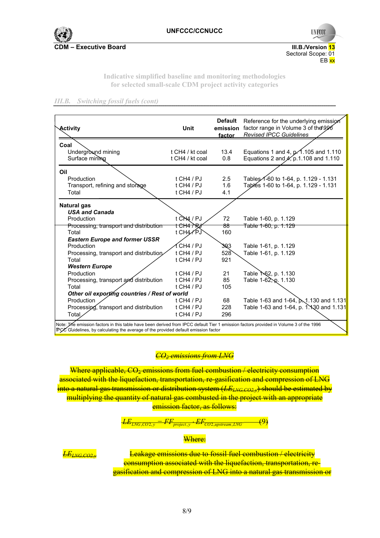**CDM – Executive Board III.B./Version 13** 



**Indicative simplified baseline and monitoring methodologies for selected small-scale CDM project activity categories** 

#### *III.B. Switching fossil fuels (cont)*

| Activity                                      | <b>Unit</b>                   | <b>Default</b><br>emission<br>factor | Reference for the underlying emission<br>factor range in Volume 3 of the 996<br><b>Revised IPCC Guidelines</b> |
|-----------------------------------------------|-------------------------------|--------------------------------------|----------------------------------------------------------------------------------------------------------------|
| Coal                                          |                               |                                      |                                                                                                                |
| Underground mining                            | t CH4 / kt coal               | 13.4                                 | Equations 1 and 4, $p\overline{.4}$ .105 and 1.110                                                             |
| Surface mining                                | t CH4 / kt coal               | 0.8                                  | Equations 2 and $A$ , p.1.108 and 1.110                                                                        |
| Oil                                           |                               |                                      |                                                                                                                |
| Production                                    | $t$ CH4 / PJ                  | 2.5                                  | Tables 1-60 to 1-64, p. 1.129 - 1.131                                                                          |
| Transport, refining and storage               | t CH4 / PJ                    | 1.6                                  | Tables 1-60 to 1-64, p. 1.129 - 1.131                                                                          |
| Total                                         | t CH4 / PJ                    | 4.1                                  |                                                                                                                |
| <b>Natural gas</b>                            |                               |                                      |                                                                                                                |
| <b>USA and Canada</b>                         |                               |                                      |                                                                                                                |
| Production                                    | t $\overrightarrow{CH4}$ / PJ | 72                                   | Table 1-60, p. 1.129                                                                                           |
| Processing, transport and distribution        | <del>t CH4 / R</del> z        | 88                                   | Table 1-60, p. 1.129                                                                                           |
| Total                                         | t CH4/PJ                      | 160                                  |                                                                                                                |
| <b>Eastern Europe and former USSR</b>         |                               |                                      |                                                                                                                |
| Production                                    | f CH4 / PJ                    | 3Q3                                  | Table 1-61, p. 1.129                                                                                           |
| Processing, transport and distribution        | t CH4 / PJ                    | 528                                  | Table 1-61, p. 1.129                                                                                           |
| Total                                         | $t$ CH4 / PJ                  | 921                                  |                                                                                                                |
| <b>Western Europe</b>                         |                               |                                      |                                                                                                                |
| Production                                    | $t$ CH4 / PJ                  | 21                                   | Table 1 62, p. 1.130                                                                                           |
| Processing, transport and distribution        | $t$ CH4 / PJ                  | 85                                   | Table $1-62$ , p. 1.130                                                                                        |
| Total                                         | t CH4 / $PI$                  | 105                                  |                                                                                                                |
| Other oil exporting countries / Rest of world |                               |                                      |                                                                                                                |
| Production                                    | $t$ CH4 / PJ                  | 68                                   | Table 1-63 and 1-64, p. 1.130 and 1.131                                                                        |
| Processing, transport and distribution        | t CH4 / $PI$                  | 228                                  | Table 1-63 and 1-64, p. 1. 1. 30 and 1.131                                                                     |
| Total                                         | t CH4 / $PI$                  | 296                                  |                                                                                                                |

## *CO2 emissions from LNG*

Where applicable,  $CO_2$  emissions from fuel combustion / electricity consumption associated with the liquefaction, transportation, re-gasification and compression of LNG into a natural gas transmission or distribution system (*LELNG,CO2,y*) should be estimated by multiplying the quantity of natural gas combusted in the project with an appropriate emission factor, as follows:



#### Where:

*LELNG,CO2,y* Leakage emissions due to fossil fuel combustion / electricity consumption associated with the liquefaction, transportation, regasification and compression of LNG into a natural gas transmission or